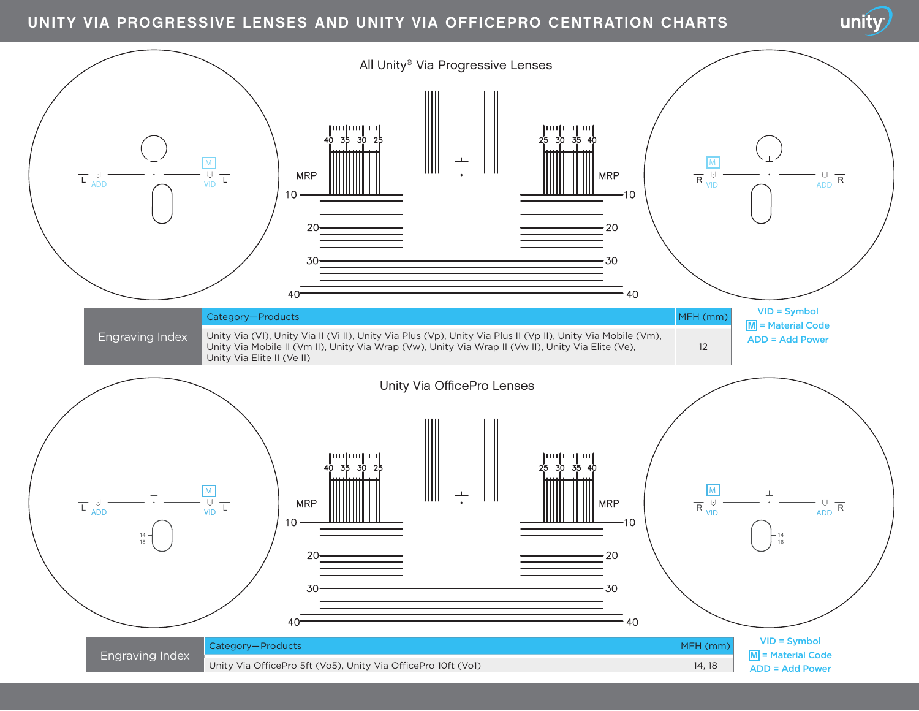## UNITY VIA PROGRESSIVE LENSES AND UNITY VIA OFFICEPRO CENTRATION CHARTS